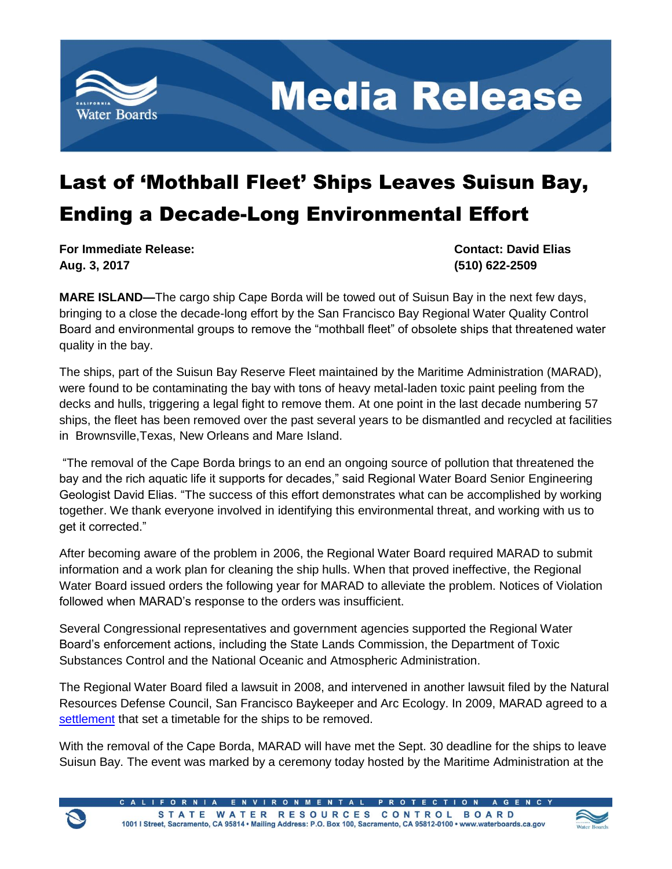

**Media Release** 

## Last of 'Mothball Fleet' Ships Leaves Suisun Bay, Ending a Decade-Long Environmental Effort

**For Immediate Release: Contact: David Elias Aug. 3, 2017 (510) 622-2509**

**MARE ISLAND—**The cargo ship Cape Borda will be towed out of Suisun Bay in the next few days, bringing to a close the decade-long effort by the San Francisco Bay Regional Water Quality Control Board and environmental groups to remove the "mothball fleet" of obsolete ships that threatened water quality in the bay.

The ships, part of the Suisun Bay Reserve Fleet maintained by the Maritime Administration (MARAD), were found to be contaminating the bay with tons of heavy metal-laden toxic paint peeling from the decks and hulls, triggering a legal fight to remove them. At one point in the last decade numbering 57 ships, the fleet has been removed over the past several years to be dismantled and recycled at facilities in Brownsville,Texas, New Orleans and Mare Island.

"The removal of the Cape Borda brings to an end an ongoing source of pollution that threatened the bay and the rich aquatic life it supports for decades," said Regional Water Board Senior Engineering Geologist David Elias. "The success of this effort demonstrates what can be accomplished by working together. We thank everyone involved in identifying this environmental threat, and working with us to get it corrected."

After becoming aware of the problem in 2006, the Regional Water Board required MARAD to submit information and a work plan for cleaning the ship hulls. When that proved ineffective, the Regional Water Board issued orders the following year for MARAD to alleviate the problem. Notices of Violation followed when MARAD's response to the orders was insufficient.

Several Congressional representatives and government agencies supported the Regional Water Board's enforcement actions, including the State Lands Commission, the Department of Toxic Substances Control and the National Oceanic and Atmospheric Administration.

The Regional Water Board filed a lawsuit in 2008, and intervened in another lawsuit filed by the Natural Resources Defense Council, San Francisco Baykeeper and Arc Ecology. In 2009, MARAD agreed to a [settlement](https://www.pdffiller.com/en/project/127405112.htm?f_hash=04cd9c&reload=true) that set a timetable for the ships to be removed.

With the removal of the Cape Borda, MARAD will have met the Sept. 30 deadline for the ships to leave Suisun Bay. The event was marked by a ceremony today hosted by the Maritime Administration at the